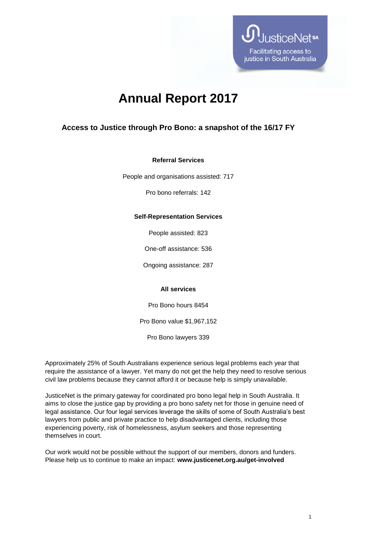

# **Annual Report 2017**

# **Access to Justice through Pro Bono: a snapshot of the 16/17 FY**

## **Referral Services**

People and organisations assisted: 717

Pro bono referrals: 142

## **Self-Representation Services**

People assisted: 823

One-off assistance: 536

Ongoing assistance: 287

#### **All services**

Pro Bono hours 8454

Pro Bono value \$1,967,152

Pro Bono lawyers 339

Approximately 25% of South Australians experience serious legal problems each year that require the assistance of a lawyer. Yet many do not get the help they need to resolve serious civil law problems because they cannot afford it or because help is simply unavailable.

JusticeNet is the primary gateway for coordinated pro bono legal help in South Australia. It aims to close the justice gap by providing a pro bono safety net for those in genuine need of legal assistance. Our four legal services leverage the skills of some of South Australia's best lawyers from public and private practice to help disadvantaged clients, including those experiencing poverty, risk of homelessness, asylum seekers and those representing themselves in court.

Our work would not be possible without the support of our members, donors and funders. Please help us to continue to make an impact: **www.justicenet.org.au/get-involved**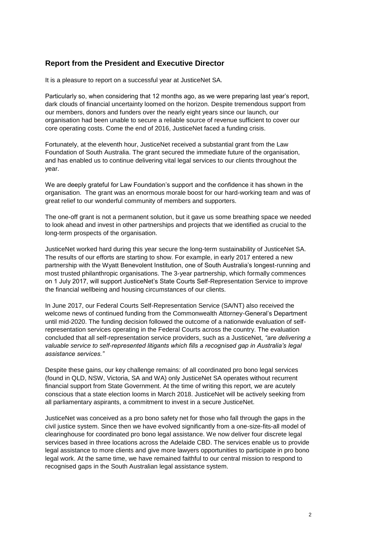# **Report from the President and Executive Director**

It is a pleasure to report on a successful year at JusticeNet SA.

Particularly so, when considering that 12 months ago, as we were preparing last year's report, dark clouds of financial uncertainty loomed on the horizon. Despite tremendous support from our members, donors and funders over the nearly eight years since our launch, our organisation had been unable to secure a reliable source of revenue sufficient to cover our core operating costs. Come the end of 2016, JusticeNet faced a funding crisis.

Fortunately, at the eleventh hour, JusticeNet received a substantial grant from the Law Foundation of South Australia. The grant secured the immediate future of the organisation, and has enabled us to continue delivering vital legal services to our clients throughout the year.

We are deeply grateful for Law Foundation's support and the confidence it has shown in the organisation. The grant was an enormous morale boost for our hard-working team and was of great relief to our wonderful community of members and supporters.

The one-off grant is not a permanent solution, but it gave us some breathing space we needed to look ahead and invest in other partnerships and projects that we identified as crucial to the long-term prospects of the organisation.

JusticeNet worked hard during this year secure the long-term sustainability of JusticeNet SA. The results of our efforts are starting to show. For example, in early 2017 entered a new partnership with the Wyatt Benevolent Institution, one of South Australia's longest-running and most trusted philanthropic organisations. The 3-year partnership, which formally commences on 1 July 2017, will support JusticeNet's State Courts Self-Representation Service to improve the financial wellbeing and housing circumstances of our clients.

In June 2017, our Federal Courts Self-Representation Service (SA/NT) also received the welcome news of continued funding from the Commonwealth Attorney-General's Department until mid-2020. The funding decision followed the outcome of a nationwide evaluation of selfrepresentation services operating in the Federal Courts across the country. The evaluation concluded that all self-representation service providers, such as a JusticeNet, *"are delivering a*  valuable service to self-represented litigants which fills a recognised gap in Australia's legal *assistance services."*

Despite these gains, our key challenge remains: of all coordinated pro bono legal services (found in QLD, NSW, Victoria, SA and WA) only JusticeNet SA operates without recurrent financial support from State Government. At the time of writing this report, we are acutely conscious that a state election looms in March 2018. JusticeNet will be actively seeking from all parliamentary aspirants, a commitment to invest in a secure JusticeNet.

JusticeNet was conceived as a pro bono safety net for those who fall through the gaps in the civil justice system. Since then we have evolved significantly from a one-size-fits-all model of clearinghouse for coordinated pro bono legal assistance. We now deliver four discrete legal services based in three locations across the Adelaide CBD. The services enable us to provide legal assistance to more clients and give more lawyers opportunities to participate in pro bono legal work. At the same time, we have remained faithful to our central mission to respond to recognised gaps in the South Australian legal assistance system.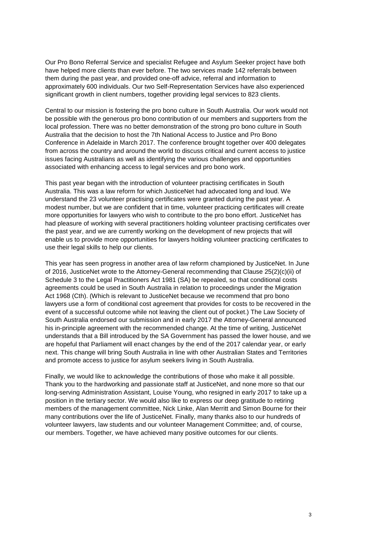Our Pro Bono Referral Service and specialist Refugee and Asylum Seeker project have both have helped more clients than ever before. The two services made 142 referrals between them during the past year, and provided one-off advice, referral and information to approximately 600 individuals. Our two Self-Representation Services have also experienced significant growth in client numbers, together providing legal services to 823 clients.

Central to our mission is fostering the pro bono culture in South Australia. Our work would not be possible with the generous pro bono contribution of our members and supporters from the local profession. There was no better demonstration of the strong pro bono culture in South Australia that the decision to host the 7th National Access to Justice and Pro Bono Conference in Adelaide in March 2017. The conference brought together over 400 delegates from across the country and around the world to discuss critical and current access to justice issues facing Australians as well as identifying the various challenges and opportunities associated with enhancing access to legal services and pro bono work.

This past year began with the introduction of volunteer practising certificates in South Australia. This was a law reform for which JusticeNet had advocated long and loud. We understand the 23 volunteer practising certificates were granted during the past year. A modest number, but we are confident that in time, volunteer practicing certificates will create more opportunities for lawyers who wish to contribute to the pro bono effort. JusticeNet has had pleasure of working with several practitioners holding volunteer practising certificates over the past year, and we are currently working on the development of new projects that will enable us to provide more opportunities for lawyers holding volunteer practicing certificates to use their legal skills to help our clients.

This year has seen progress in another area of law reform championed by JusticeNet. In June of 2016, JusticeNet wrote to the Attorney-General recommending that Clause 25(2)(c)(ii) of Schedule 3 to the Legal Practitioners Act 1981 (SA) be repealed, so that conditional costs agreements could be used in South Australia in relation to proceedings under the Migration Act 1968 (Cth). (Which is relevant to JusticeNet because we recommend that pro bono lawyers use a form of conditional cost agreement that provides for costs to be recovered in the event of a successful outcome while not leaving the client out of pocket.) The Law Society of South Australia endorsed our submission and in early 2017 the Attorney-General announced his in-principle agreement with the recommended change. At the time of writing, JusticeNet understands that a Bill introduced by the SA Government has passed the lower house, and we are hopeful that Parliament will enact changes by the end of the 2017 calendar year, or early next. This change will bring South Australia in line with other Australian States and Territories and promote access to justice for asylum seekers living in South Australia.

Finally, we would like to acknowledge the contributions of those who make it all possible. Thank you to the hardworking and passionate staff at JusticeNet, and none more so that our long-serving Administration Assistant, Louise Young, who resigned in early 2017 to take up a position in the tertiary sector. We would also like to express our deep gratitude to retiring members of the management committee, Nick Linke, Alan Merritt and Simon Bourne for their many contributions over the life of JusticeNet. Finally, many thanks also to our hundreds of volunteer lawyers, law students and our volunteer Management Committee; and, of course, our members. Together, we have achieved many positive outcomes for our clients.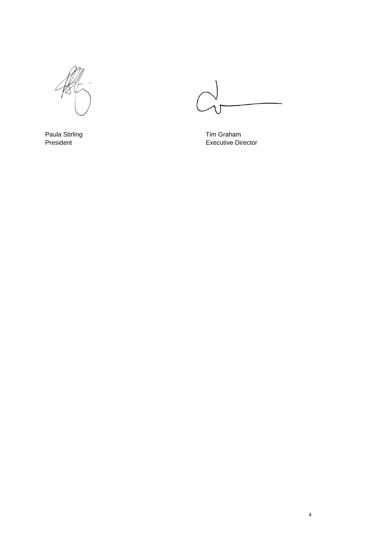

Paula Stirling Tim Graham<br>
President Tim Graham<br>
President Tim Graham Executive Di **Executive Director**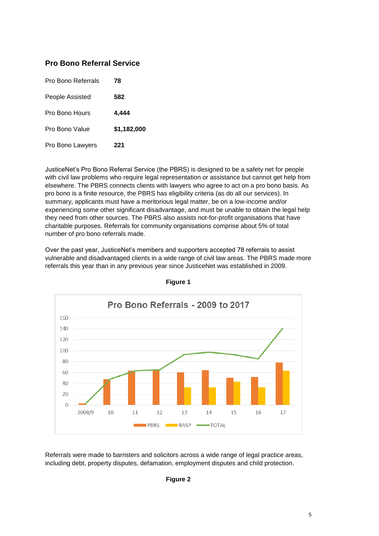# **Pro Bono Referral Service**

| Pro Bono Referrals<br>78 |             |
|--------------------------|-------------|
| People Assisted          | 582         |
| Pro Bono Hours           | 4.444       |
| Pro Bono Value           | \$1,182,000 |
| Pro Bono Lawyers         | 221         |

JusticeNet's Pro Bono Referral Service (the PBRS) is designed to be a safety net for people with civil law problems who require legal representation or assistance but cannot get help from elsewhere. The PBRS connects clients with lawyers who agree to act on a pro bono basis. As pro bono is a finite resource, the PBRS has eligibility criteria (as do all our services). In summary, applicants must have a meritorious legal matter, be on a low-income and/or experiencing some other significant disadvantage, and must be unable to obtain the legal help they need from other sources. The PBRS also assists not-for-profit organisations that have charitable purposes. Referrals for community organisations comprise about 5% of total number of pro bono referrals made.

Over the past year, JusticeNet's members and supporters accepted 78 referrals to assist vulnerable and disadvantaged clients in a wide range of civil law areas. The PBRS made more referrals this year than in any previous year since JusticeNet was established in 2009.



**Figure 1**

Referrals were made to barristers and solicitors across a wide range of legal practice areas, including debt, property disputes, defamation, employment disputes and child protection.

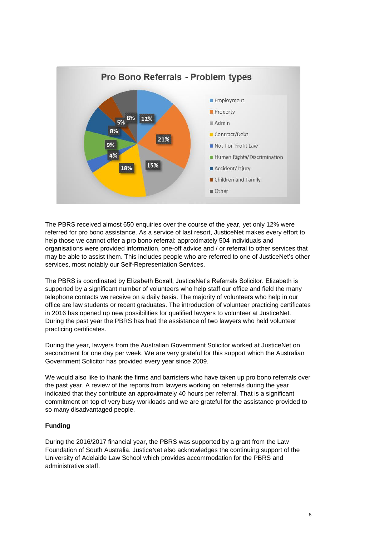

The PBRS received almost 650 enquiries over the course of the year, yet only 12% were referred for pro bono assistance. As a service of last resort, JusticeNet makes every effort to help those we cannot offer a pro bono referral: approximately 504 individuals and organisations were provided information, one-off advice and / or referral to other services that may be able to assist them. This includes people who are referred to one of JusticeNet's other services, most notably our Self-Representation Services.

The PBRS is coordinated by Elizabeth Boxall, JusticeNet's Referrals Solicitor. Elizabeth is supported by a significant number of volunteers who help staff our office and field the many telephone contacts we receive on a daily basis. The majority of volunteers who help in our office are law students or recent graduates. The introduction of volunteer practicing certificates in 2016 has opened up new possibilities for qualified lawyers to volunteer at JusticeNet. During the past year the PBRS has had the assistance of two lawyers who held volunteer practicing certificates.

During the year, lawyers from the Australian Government Solicitor worked at JusticeNet on secondment for one day per week. We are very grateful for this support which the Australian Government Solicitor has provided every year since 2009.

We would also like to thank the firms and barristers who have taken up pro bono referrals over the past year. A review of the reports from lawyers working on referrals during the year indicated that they contribute an approximately 40 hours per referral. That is a significant commitment on top of very busy workloads and we are grateful for the assistance provided to so many disadvantaged people.

# **Funding**

During the 2016/2017 financial year, the PBRS was supported by a grant from the Law Foundation of South Australia. JusticeNet also acknowledges the continuing support of the University of Adelaide Law School which provides accommodation for the PBRS and administrative staff.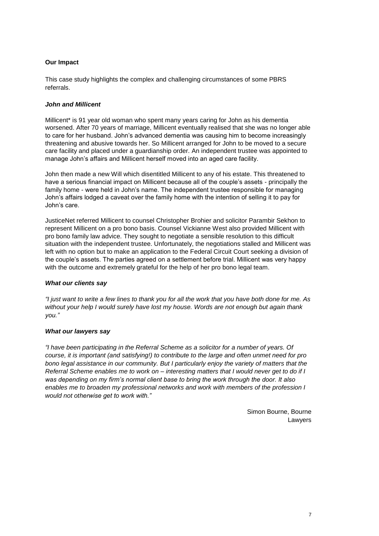# **Our Impact**

This case study highlights the complex and challenging circumstances of some PBRS referrals.

# *John and Millicent*

Millicent\* is 91 year old woman who spent many years caring for John as his dementia worsened. After 70 years of marriage, Millicent eventually realised that she was no longer able to care for her husband. John's advanced dementia was causing him to become increasingly threatening and abusive towards her. So Millicent arranged for John to be moved to a secure care facility and placed under a guardianship order. An independent trustee was appointed to manage John's affairs and Millicent herself moved into an aged care facility.

John then made a new Will which disentitled Millicent to any of his estate. This threatened to have a serious financial impact on Millicent because all of the couple's assets - principally the family home - were held in John's name. The independent trustee responsible for managing John's affairs lodged a caveat over the family home with the intention of selling it to pay for John's care.

JusticeNet referred Millicent to counsel Christopher Brohier and solicitor Parambir Sekhon to represent Millicent on a pro bono basis. Counsel Vickianne West also provided Millicent with pro bono family law advice. They sought to negotiate a sensible resolution to this difficult situation with the independent trustee. Unfortunately, the negotiations stalled and Millicent was left with no option but to make an application to the Federal Circuit Court seeking a division of the couple's assets. The parties agreed on a settlement before trial. Millicent was very happy with the outcome and extremely grateful for the help of her pro bono legal team.

# *What our clients say*

*"I just want to write a few lines to thank you for all the work that you have both done for me. As without your help I would surely have lost my house. Words are not enough but again thank you."*

# *What our lawyers say*

*"I have been participating in the Referral Scheme as a solicitor for a number of years. Of course, it is important (and satisfying!) to contribute to the large and often unmet need for pro bono legal assistance in our community. But I particularly enjoy the variety of matters that the Referral Scheme enables me to work on – interesting matters that I would never get to do if I was depending on my firm's normal client base to bring the work through the door. It also enables me to broaden my professional networks and work with members of the profession I would not otherwise get to work with."* 

> Simon Bourne, Bourne Lawyers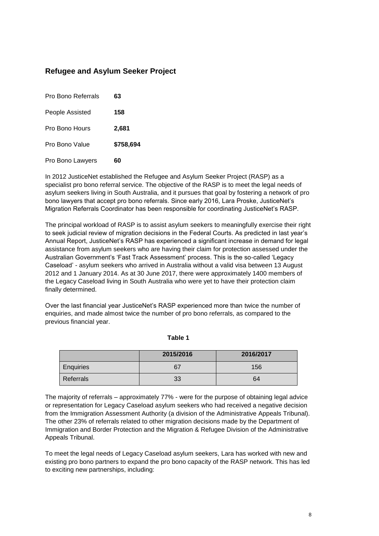# **Refugee and Asylum Seeker Project**

| Pro Bono Referrals | 63        |
|--------------------|-----------|
| People Assisted    | 158       |
| Pro Bono Hours     | 2,681     |
| Pro Bono Value     | \$758,694 |
| Pro Bono Lawyers   | 60        |

In 2012 JusticeNet established the Refugee and Asylum Seeker Project (RASP) as a specialist pro bono referral service. The objective of the RASP is to meet the legal needs of asylum seekers living in South Australia, and it pursues that goal by fostering a network of pro bono lawyers that accept pro bono referrals. Since early 2016, Lara Proske, JusticeNet's Migration Referrals Coordinator has been responsible for coordinating JusticeNet's RASP.

The principal workload of RASP is to assist asylum seekers to meaningfully exercise their right to seek judicial review of migration decisions in the Federal Courts. As predicted in last year's Annual Report, JusticeNet's RASP has experienced a significant increase in demand for legal assistance from asylum seekers who are having their claim for protection assessed under the Australian Government's 'Fast Track Assessment' process. This is the so-called 'Legacy Caseload' - asylum seekers who arrived in Australia without a valid visa between 13 August 2012 and 1 January 2014. As at 30 June 2017, there were approximately 1400 members of the Legacy Caseload living in South Australia who were yet to have their protection claim finally determined.

Over the last financial year JusticeNet's RASP experienced more than twice the number of enquiries, and made almost twice the number of pro bono referrals, as compared to the previous financial year.

|           | 2015/2016 | 2016/2017 |
|-----------|-----------|-----------|
| Enquiries | 67        | 156       |
| Referrals | 33        | 64        |

**Table 1**

The majority of referrals – approximately 77% - were for the purpose of obtaining legal advice or representation for Legacy Caseload asylum seekers who had received a negative decision from the Immigration Assessment Authority (a division of the Administrative Appeals Tribunal). The other 23% of referrals related to other migration decisions made by the Department of Immigration and Border Protection and the Migration & Refugee Division of the Administrative Appeals Tribunal.

To meet the legal needs of Legacy Caseload asylum seekers, Lara has worked with new and existing pro bono partners to expand the pro bono capacity of the RASP network. This has led to exciting new partnerships, including: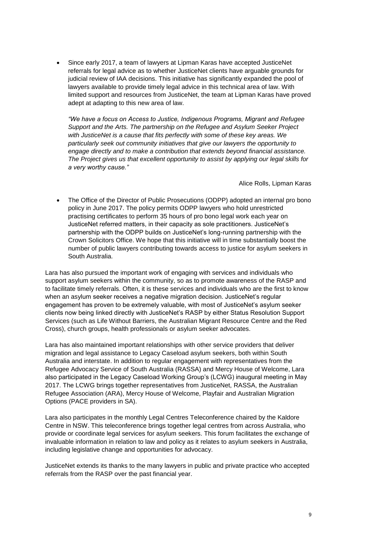Since early 2017, a team of lawyers at Lipman Karas have accepted JusticeNet referrals for legal advice as to whether JusticeNet clients have arguable grounds for judicial review of IAA decisions. This initiative has significantly expanded the pool of lawyers available to provide timely legal advice in this technical area of law. With limited support and resources from JusticeNet, the team at Lipman Karas have proved adept at adapting to this new area of law.

*"We have a focus on Access to Justice, Indigenous Programs, Migrant and Refugee Support and the Arts. The partnership on the Refugee and Asylum Seeker Project with JusticeNet is a cause that fits perfectly with some of these key areas. We particularly seek out community initiatives that give our lawyers the opportunity to engage directly and to make a contribution that extends beyond financial assistance. The Project gives us that excellent opportunity to assist by applying our legal skills for a very worthy cause."* 

Alice Rolls, Lipman Karas

 The Office of the Director of Public Prosecutions (ODPP) adopted an internal pro bono policy in June 2017. The policy permits ODPP lawyers who hold unrestricted practising certificates to perform 35 hours of pro bono legal work each year on JusticeNet referred matters, in their capacity as sole practitioners. JusticeNet's partnership with the ODPP builds on JusticeNet's long-running partnership with the Crown Solicitors Office. We hope that this initiative will in time substantially boost the number of public lawyers contributing towards access to justice for asylum seekers in South Australia.

Lara has also pursued the important work of engaging with services and individuals who support asylum seekers within the community, so as to promote awareness of the RASP and to facilitate timely referrals. Often, it is these services and individuals who are the first to know when an asylum seeker receives a negative migration decision. JusticeNet's regular engagement has proven to be extremely valuable, with most of JusticeNet's asylum seeker clients now being linked directly with JusticeNet's RASP by either Status Resolution Support Services (such as Life Without Barriers, the Australian Migrant Resource Centre and the Red Cross), church groups, health professionals or asylum seeker advocates.

Lara has also maintained important relationships with other service providers that deliver migration and legal assistance to Legacy Caseload asylum seekers, both within South Australia and interstate. In addition to regular engagement with representatives from the Refugee Advocacy Service of South Australia (RASSA) and Mercy House of Welcome, Lara also participated in the Legacy Caseload Working Group's (LCWG) inaugural meeting in May 2017. The LCWG brings together representatives from JusticeNet, RASSA, the Australian Refugee Association (ARA), Mercy House of Welcome, Playfair and Australian Migration Options (PACE providers in SA).

Lara also participates in the monthly Legal Centres Teleconference chaired by the Kaldore Centre in NSW. This teleconference brings together legal centres from across Australia, who provide or coordinate legal services for asylum seekers. This forum facilitates the exchange of invaluable information in relation to law and policy as it relates to asylum seekers in Australia, including legislative change and opportunities for advocacy.

JusticeNet extends its thanks to the many lawyers in public and private practice who accepted referrals from the RASP over the past financial year.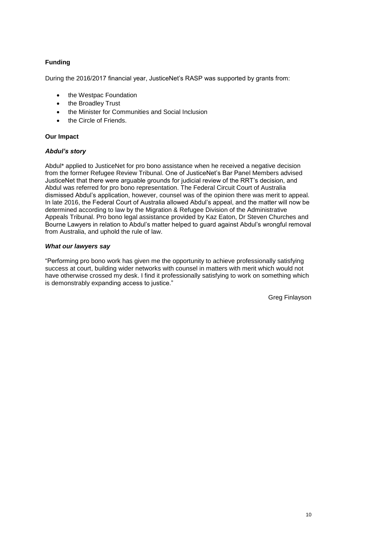# **Funding**

During the 2016/2017 financial year, JusticeNet's RASP was supported by grants from:

- the Westpac Foundation
- the Broadley Trust
- the Minister for Communities and Social Inclusion
- the Circle of Friends.

# **Our Impact**

# *Abdul's story*

Abdul\* applied to JusticeNet for pro bono assistance when he received a negative decision from the former Refugee Review Tribunal. One of JusticeNet's Bar Panel Members advised JusticeNet that there were arguable grounds for judicial review of the RRT's decision, and Abdul was referred for pro bono representation. The Federal Circuit Court of Australia dismissed Abdul's application, however, counsel was of the opinion there was merit to appeal. In late 2016, the Federal Court of Australia allowed Abdul's appeal, and the matter will now be determined according to law by the Migration & Refugee Division of the Administrative Appeals Tribunal. Pro bono legal assistance provided by Kaz Eaton, Dr Steven Churches and Bourne Lawyers in relation to Abdul's matter helped to guard against Abdul's wrongful removal from Australia, and uphold the rule of law.

# *What our lawyers say*

"Performing pro bono work has given me the opportunity to achieve professionally satisfying success at court, building wider networks with counsel in matters with merit which would not have otherwise crossed my desk. I find it professionally satisfying to work on something which is demonstrably expanding access to justice."

Greg Finlayson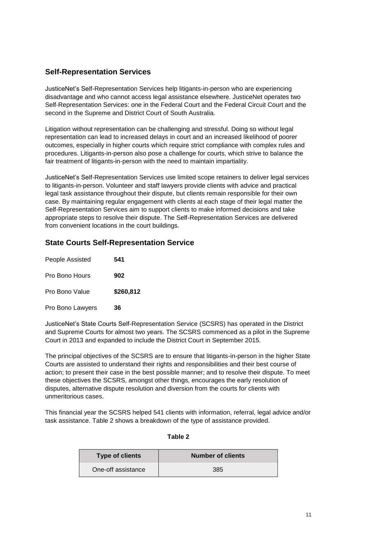# **Self-Representation Services**

JusticeNet's Self-Representation Services help litigants-in-person who are experiencing disadvantage and who cannot access legal assistance elsewhere. JusticeNet operates two Self-Representation Services: one in the Federal Court and the Federal Circuit Court and the second in the Supreme and District Court of South Australia.

Litigation without representation can be challenging and stressful. Doing so without legal representation can lead to increased delays in court and an increased likelihood of poorer outcomes, especially in higher courts which require strict compliance with complex rules and procedures. Litigants-in-person also pose a challenge for courts, which strive to balance the fair treatment of litigants-in-person with the need to maintain impartiality.

JusticeNet's Self-Representation Services use limited scope retainers to deliver legal services to litigants-in-person. Volunteer and staff lawyers provide clients with advice and practical legal task assistance throughout their dispute, but clients remain responsible for their own case. By maintaining regular engagement with clients at each stage of their legal matter the Self-Representation Services aim to support clients to make informed decisions and take appropriate steps to resolve their dispute. The Self-Representation Services are delivered from convenient locations in the court buildings.

# **State Courts Self-Representation Service**

| People Assisted  | 541       |
|------------------|-----------|
| Pro Bono Hours   | 902       |
| Pro Bono Value   | \$260,812 |
| Pro Bono Lawyers | 36        |

JusticeNet's State Courts Self-Representation Service (SCSRS) has operated in the District and Supreme Courts for almost two years. The SCSRS commenced as a pilot in the Supreme Court in 2013 and expanded to include the District Court in September 2015.

The principal objectives of the SCSRS are to ensure that litigants-in-person in the higher State Courts are assisted to understand their rights and responsibilities and their best course of action; to present their case in the best possible manner; and to resolve their dispute. To meet these objectives the SCSRS, amongst other things, encourages the early resolution of disputes, alternative dispute resolution and diversion from the courts for clients with unmeritorious cases.

This financial year the SCSRS helped 541 clients with information, referral, legal advice and/or task assistance. Table 2 shows a breakdown of the type of assistance provided.

**Table 2**

| <b>Type of clients</b> | <b>Number of clients</b> |
|------------------------|--------------------------|
| One-off assistance     | 385                      |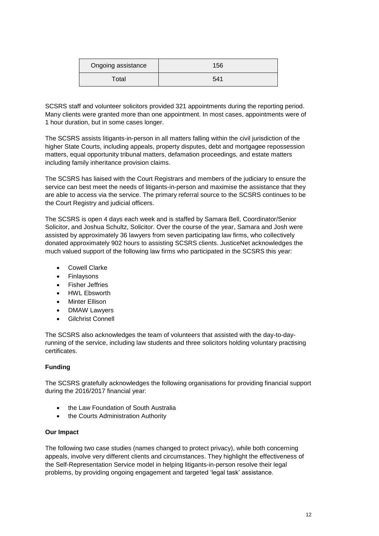| Ongoing assistance | 156 |
|--------------------|-----|
| Total              | 541 |

SCSRS staff and volunteer solicitors provided 321 appointments during the reporting period. Many clients were granted more than one appointment. In most cases, appointments were of 1 hour duration, but in some cases longer.

The SCSRS assists litigants-in-person in all matters falling within the civil jurisdiction of the higher State Courts, including appeals, property disputes, debt and mortgagee repossession matters, equal opportunity tribunal matters, defamation proceedings, and estate matters including family inheritance provision claims.

The SCSRS has liaised with the Court Registrars and members of the judiciary to ensure the service can best meet the needs of litigants-in-person and maximise the assistance that they are able to access via the service. The primary referral source to the SCSRS continues to be the Court Registry and judicial officers.

The SCSRS is open 4 days each week and is staffed by Samara Bell, Coordinator/Senior Solicitor, and Joshua Schultz, Solicitor. Over the course of the year, Samara and Josh were assisted by approximately 36 lawyers from seven participating law firms, who collectively donated approximately 902 hours to assisting SCSRS clients. JusticeNet acknowledges the much valued support of the following law firms who participated in the SCSRS this year:

- Cowell Clarke
- Finlaysons
- Fisher Jeffries
- HWL Ebsworth
- Minter Ellison
- DMAW Lawyers
- **•** Gilchrist Connell

The SCSRS also acknowledges the team of volunteers that assisted with the day-to-dayrunning of the service, including law students and three solicitors holding voluntary practising certificates.

# **Funding**

The SCSRS gratefully acknowledges the following organisations for providing financial support during the 2016/2017 financial year:

- the Law Foundation of South Australia
- the Courts Administration Authority

# **Our Impact**

The following two case studies (names changed to protect privacy), while both concerning appeals, involve very different clients and circumstances. They highlight the effectiveness of the Self-Representation Service model in helping litigants-in-person resolve their legal problems, by providing ongoing engagement and targeted 'legal task' assistance.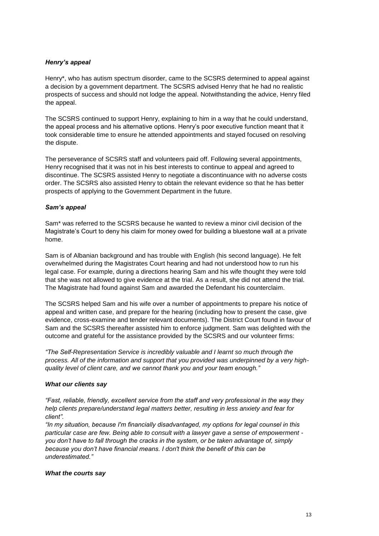# *Henry's appeal*

Henry\*, who has autism spectrum disorder, came to the SCSRS determined to appeal against a decision by a government department. The SCSRS advised Henry that he had no realistic prospects of success and should not lodge the appeal. Notwithstanding the advice, Henry filed the appeal.

The SCSRS continued to support Henry, explaining to him in a way that he could understand, the appeal process and his alternative options. Henry's poor executive function meant that it took considerable time to ensure he attended appointments and stayed focused on resolving the dispute.

The perseverance of SCSRS staff and volunteers paid off. Following several appointments, Henry recognised that it was not in his best interests to continue to appeal and agreed to discontinue. The SCSRS assisted Henry to negotiate a discontinuance with no adverse costs order. The SCSRS also assisted Henry to obtain the relevant evidence so that he has better prospects of applying to the Government Department in the future.

# *Sam's appeal*

Sam\* was referred to the SCSRS because he wanted to review a minor civil decision of the Magistrate's Court to deny his claim for money owed for building a bluestone wall at a private home.

Sam is of Albanian background and has trouble with English (his second language). He felt overwhelmed during the Magistrates Court hearing and had not understood how to run his legal case. For example, during a directions hearing Sam and his wife thought they were told that she was not allowed to give evidence at the trial. As a result, she did not attend the trial. The Magistrate had found against Sam and awarded the Defendant his counterclaim.

The SCSRS helped Sam and his wife over a number of appointments to prepare his notice of appeal and written case, and prepare for the hearing (including how to present the case, give evidence, cross-examine and tender relevant documents). The District Court found in favour of Sam and the SCSRS thereafter assisted him to enforce judgment. Sam was delighted with the outcome and grateful for the assistance provided by the SCSRS and our volunteer firms:

*"The Self-Representation Service is incredibly valuable and I learnt so much through the process. All of the information and support that you provided was underpinned by a very highquality level of client care, and we cannot thank you and your team enough."*

# *What our clients say*

*"Fast, reliable, friendly, excellent service from the staff and very professional in the way they help clients prepare/understand legal matters better, resulting in less anxiety and fear for client".*

*"In my situation, because I'm financially disadvantaged, my options for legal counsel in this particular case are few. Being able to consult with a lawyer gave a sense of empowerment you don't have to fall through the cracks in the system, or be taken advantage of, simply because you don't have financial means. I don't think the benefit of this can be underestimated."*

#### *What the courts say*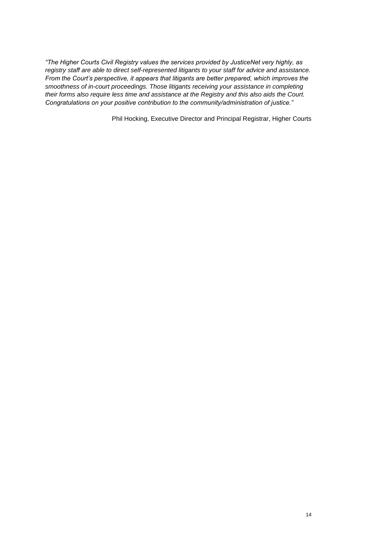*"The Higher Courts Civil Registry values the services provided by JusticeNet very highly, as registry staff are able to direct self-represented litigants to your staff for advice and assistance. From the Court's perspective, it appears that litigants are better prepared, which improves the smoothness of in-court proceedings. Those litigants receiving your assistance in completing their forms also require less time and assistance at the Registry and this also aids the Court. Congratulations on your positive contribution to the community/administration of justice."*

Phil Hocking, Executive Director and Principal Registrar, Higher Courts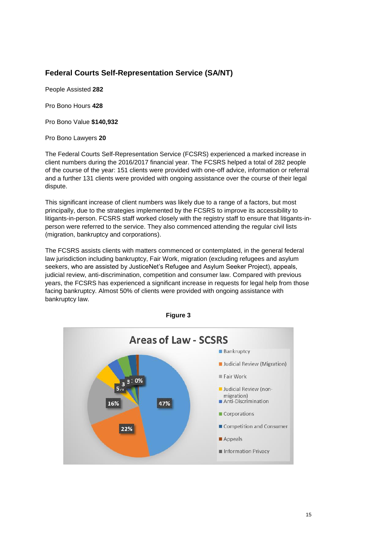# **Federal Courts Self-Representation Service (SA/NT)**

People Assisted **282**

Pro Bono Hours **428**

Pro Bono Value **\$140,932**

Pro Bono Lawyers **20**

The Federal Courts Self-Representation Service (FCSRS) experienced a marked increase in client numbers during the 2016/2017 financial year. The FCSRS helped a total of 282 people of the course of the year: 151 clients were provided with one-off advice, information or referral and a further 131 clients were provided with ongoing assistance over the course of their legal dispute.

This significant increase of client numbers was likely due to a range of a factors, but most principally, due to the strategies implemented by the FCSRS to improve its accessibility to litigants-in-person. FCSRS staff worked closely with the registry staff to ensure that litigants-inperson were referred to the service. They also commenced attending the regular civil lists (migration, bankruptcy and corporations).

The FCSRS assists clients with matters commenced or contemplated, in the general federal law jurisdiction including bankruptcy, Fair Work, migration (excluding refugees and asylum seekers, who are assisted by JusticeNet's Refugee and Asylum Seeker Project), appeals, judicial review, anti-discrimination, competition and consumer law. Compared with previous years, the FCSRS has experienced a significant increase in requests for legal help from those facing bankruptcy. Almost 50% of clients were provided with ongoing assistance with bankruptcy law.



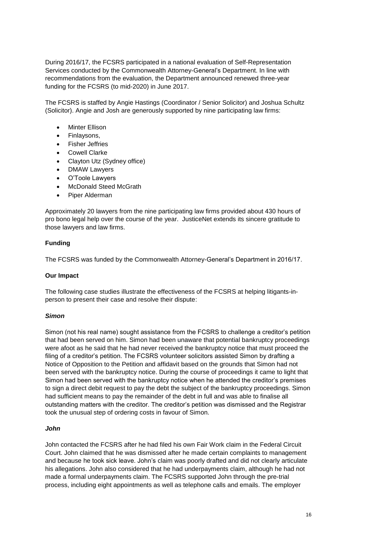During 2016/17, the FCSRS participated in a national evaluation of Self-Representation Services conducted by the Commonwealth Attorney-General's Department. In line with recommendations from the evaluation, the Department announced renewed three-year funding for the FCSRS (to mid-2020) in June 2017.

The FCSRS is staffed by Angie Hastings (Coordinator / Senior Solicitor) and Joshua Schultz (Solicitor). Angie and Josh are generously supported by nine participating law firms:

- Minter Ellison
- Finlaysons,
- Fisher Jeffries
- Cowell Clarke
- Clayton Utz (Sydney office)
- DMAW Lawyers
- O'Toole Lawyers
- McDonald Steed McGrath
- Piper Alderman

Approximately 20 lawyers from the nine participating law firms provided about 430 hours of pro bono legal help over the course of the year. JusticeNet extends its sincere gratitude to those lawyers and law firms.

#### **Funding**

The FCSRS was funded by the Commonwealth Attorney-General's Department in 2016/17.

#### **Our Impact**

The following case studies illustrate the effectiveness of the FCSRS at helping litigants-inperson to present their case and resolve their dispute:

#### *Simon*

Simon (not his real name) sought assistance from the FCSRS to challenge a creditor's petition that had been served on him. Simon had been unaware that potential bankruptcy proceedings were afoot as he said that he had never received the bankruptcy notice that must proceed the filing of a creditor's petition. The FCSRS volunteer solicitors assisted Simon by drafting a Notice of Opposition to the Petition and affidavit based on the grounds that Simon had not been served with the bankruptcy notice. During the course of proceedings it came to light that Simon had been served with the bankruptcy notice when he attended the creditor's premises to sign a direct debit request to pay the debt the subject of the bankruptcy proceedings. Simon had sufficient means to pay the remainder of the debt in full and was able to finalise all outstanding matters with the creditor. The creditor's petition was dismissed and the Registrar took the unusual step of ordering costs in favour of Simon.

#### *John*

John contacted the FCSRS after he had filed his own Fair Work claim in the Federal Circuit Court. John claimed that he was dismissed after he made certain complaints to management and because he took sick leave. John's claim was poorly drafted and did not clearly articulate his allegations. John also considered that he had underpayments claim, although he had not made a formal underpayments claim. The FCSRS supported John through the pre-trial process, including eight appointments as well as telephone calls and emails. The employer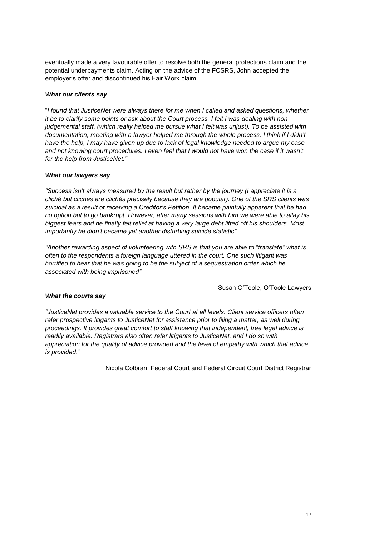eventually made a very favourable offer to resolve both the general protections claim and the potential underpayments claim. Acting on the advice of the FCSRS, John accepted the employer's offer and discontinued his Fair Work claim.

## *What our clients say*

"*I found that JusticeNet were always there for me when I called and asked questions, whether it be to clarify some points or ask about the Court process. I felt I was dealing with nonjudgemental staff, (which really helped me pursue what I felt was unjust). To be assisted with documentation, meeting with a lawyer helped me through the whole process. I think if I didn't have the help, I may have given up due to lack of legal knowledge needed to argue my case*  and not knowing court procedures. I even feel that I would not have won the case if it wasn't *for the help from JusticeNet."*

## *What our lawyers say*

*"Success isn't always measured by the result but rather by the journey (I appreciate it is a cliché but cliches are clichés precisely because they are popular). One of the SRS clients was suicidal as a result of receiving a Creditor's Petition. It became painfully apparent that he had no option but to go bankrupt. However, after many sessions with him we were able to allay his biggest fears and he finally felt relief at having a very large debt lifted off his shoulders. Most importantly he didn't became yet another disturbing suicide statistic".* 

*"Another rewarding aspect of volunteering with SRS is that you are able to "translate" what is often to the respondents a foreign language uttered in the court. One such litigant was horrified to hear that he was going to be the subject of a sequestration order which he associated with being imprisoned"*

Susan O'Toole, O'Toole Lawyers

#### *What the courts say*

*"JusticeNet provides a valuable service to the Court at all levels. Client service officers often refer prospective litigants to JusticeNet for assistance prior to filing a matter, as well during proceedings. It provides great comfort to staff knowing that independent, free legal advice is readily available. Registrars also often refer litigants to JusticeNet, and I do so with appreciation for the quality of advice provided and the level of empathy with which that advice is provided."*

Nicola Colbran, Federal Court and Federal Circuit Court District Registrar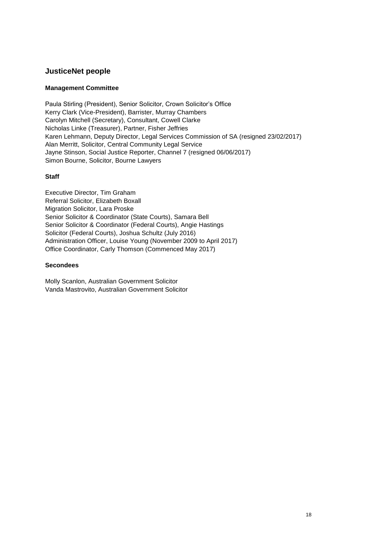# **JusticeNet people**

# **Management Committee**

Paula Stirling (President), Senior Solicitor, Crown Solicitor's Office Kerry Clark (Vice-President), Barrister, Murray Chambers Carolyn Mitchell (Secretary), Consultant, Cowell Clarke Nicholas Linke (Treasurer), Partner, Fisher Jeffries Karen Lehmann, Deputy Director, Legal Services Commission of SA (resigned 23/02/2017) Alan Merritt, Solicitor, Central Community Legal Service Jayne Stinson, Social Justice Reporter, Channel 7 (resigned 06/06/2017) Simon Bourne, Solicitor, Bourne Lawyers

## **Staff**

Executive Director, Tim Graham Referral Solicitor, Elizabeth Boxall Migration Solicitor, Lara Proske Senior Solicitor & Coordinator (State Courts), Samara Bell Senior Solicitor & Coordinator (Federal Courts), Angie Hastings Solicitor (Federal Courts), Joshua Schultz (July 2016) Administration Officer, Louise Young (November 2009 to April 2017) Office Coordinator, Carly Thomson (Commenced May 2017)

#### **Secondees**

Molly Scanlon, Australian Government Solicitor Vanda Mastrovito, Australian Government Solicitor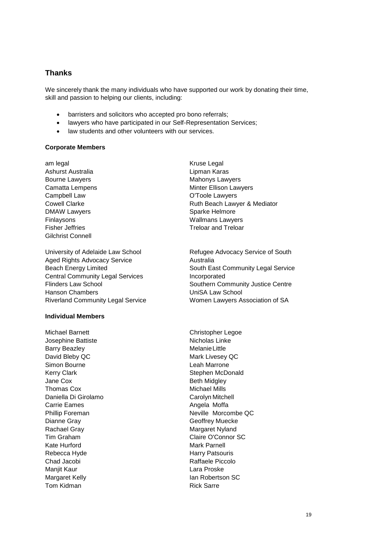# **Thanks**

We sincerely thank the many individuals who have supported our work by donating their time, skill and passion to helping our clients, including:

- barristers and solicitors who accepted pro bono referrals;
- lawyers who have participated in our Self-Representation Services;
- law students and other volunteers with our services.

## **Corporate Members**

am legal Ashurst Australia Bourne Lawyers Camatta Lempens Campbell Law Cowell Clarke DMAW Lawyers Finlaysons Fisher Jeffries Gilchrist Connell

University of Adelaide Law School Aged Rights Advocacy Service Beach Energy Limited Central Community Legal Services Flinders Law School Hanson Chambers Riverland Community Legal Service

## **Individual Members**

Michael Barnett Josephine Battiste Barry Beazley David Bleby QC Simon Bourne Kerry Clark Jane Cox Thomas Cox Daniella Di Girolamo Carrie Eames Phillip Foreman Dianne Gray Rachael Gray Tim Graham Kate Hurford Rebecca Hyde Chad Jacobi Manjit Kaur Margaret Kelly Tom Kidman

Kruse Legal Lipman Karas Mahonys Lawyers Minter Ellison Lawyers O'Toole Lawyers Ruth Beach Lawyer & Mediator Sparke Helmore Wallmans Lawyers Treloar and Treloar

Refugee Advocacy Service of South Australia South East Community Legal Service Incorporated Southern Community Justice Centre UniSA Law School Women Lawyers Association of SA

Christopher Legoe Nicholas Linke MelanieLittle Mark Livesey QC Leah Marrone Stephen McDonald Beth Midgley Michael Mills Carolyn Mitchell Angela Moffa Neville Morcombe QC Geoffrey Muecke Margaret Nyland Claire O'Connor SC Mark Parnell Harry Patsouris Raffaele Piccolo Lara Proske Ian Robertson SC Rick Sarre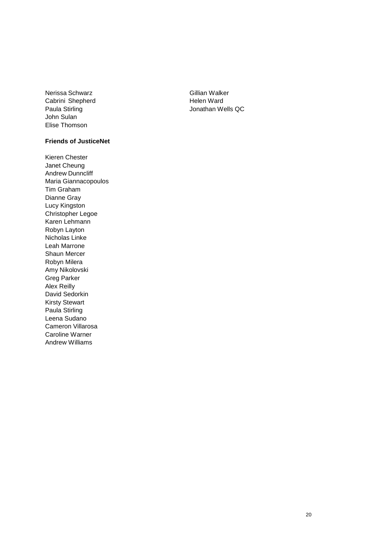Nerissa Schwarz Cabrini Shepherd Paula Stirling John Sulan Elise Thomson

## **Friends of JusticeNet**

Kieren Chester Janet Cheung Andrew Dunncliff Maria Giannacopoulos Tim Graham Dianne Gray Lucy Kingston Christopher Legoe Karen Lehmann Robyn Layton Nicholas Linke Leah Marrone Shaun Mercer Robyn Milera Amy Nikolovski Greg Parker Alex Reilly David Sedorkin Kirsty Stewart Paula Stirling Leena Sudano Cameron Villarosa Caroline Warner Andrew Williams

Gillian Walker Helen Ward Jonathan Wells QC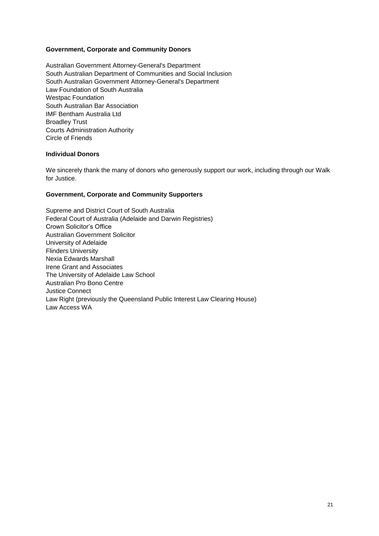# **Government, Corporate and Community Donors**

Australian Government Attorney-General's Department South Australian Department of Communities and Social Inclusion South Australian Government Attorney-General's Department Law Foundation of South Australia Westpac Foundation South Australian Bar Association IMF Bentham Australia Ltd Broadley Trust Courts Administration Authority Circle of Friends

## **Individual Donors**

We sincerely thank the many of donors who generously support our work, including through our Walk for Justice.

# **Government, Corporate and Community Supporters**

Supreme and District Court of South Australia Federal Court of Australia (Adelaide and Darwin Registries) Crown Solicitor's Office Australian Government Solicitor University of Adelaide Flinders University Nexia Edwards Marshall Irene Grant and Associates The University of Adelaide Law School Australian Pro Bono Centre Justice Connect Law Right (previously the Queensland Public Interest Law Clearing House) Law Access WA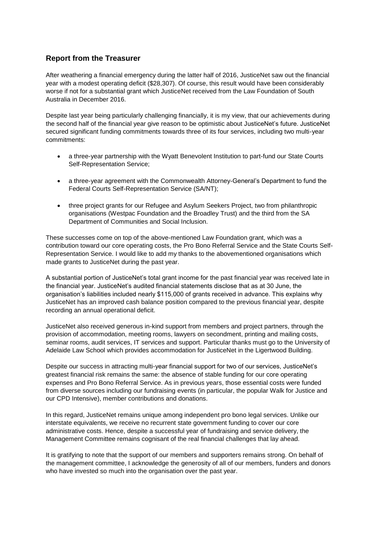# **Report from the Treasurer**

After weathering a financial emergency during the latter half of 2016, JusticeNet saw out the financial year with a modest operating deficit (\$28,307). Of course, this result would have been considerably worse if not for a substantial grant which JusticeNet received from the Law Foundation of South Australia in December 2016.

Despite last year being particularly challenging financially, it is my view, that our achievements during the second half of the financial year give reason to be optimistic about JusticeNet's future. JusticeNet secured significant funding commitments towards three of its four services, including two multi-year commitments:

- a three-year partnership with the Wyatt Benevolent Institution to part-fund our State Courts Self-Representation Service;
- a three-year agreement with the Commonwealth Attorney-General's Department to fund the Federal Courts Self-Representation Service (SA/NT);
- three project grants for our Refugee and Asylum Seekers Project, two from philanthropic organisations (Westpac Foundation and the Broadley Trust) and the third from the SA Department of Communities and Social Inclusion.

These successes come on top of the above-mentioned Law Foundation grant, which was a contribution toward our core operating costs, the Pro Bono Referral Service and the State Courts Self-Representation Service. I would like to add my thanks to the abovementioned organisations which made grants to JusticeNet during the past year.

A substantial portion of JusticeNet's total grant income for the past financial year was received late in the financial year. JusticeNet's audited financial statements disclose that as at 30 June, the organisation's liabilities included nearly \$115,000 of grants received in advance. This explains why JusticeNet has an improved cash balance position compared to the previous financial year, despite recording an annual operational deficit.

JusticeNet also received generous in-kind support from members and project partners, through the provision of accommodation, meeting rooms, lawyers on secondment, printing and mailing costs, seminar rooms, audit services, IT services and support. Particular thanks must go to the University of Adelaide Law School which provides accommodation for JusticeNet in the Ligertwood Building.

Despite our success in attracting multi-year financial support for two of our services, JusticeNet's greatest financial risk remains the same: the absence of stable funding for our core operating expenses and Pro Bono Referral Service. As in previous years, those essential costs were funded from diverse sources including our fundraising events (in particular, the popular Walk for Justice and our CPD Intensive), member contributions and donations.

In this regard, JusticeNet remains unique among independent pro bono legal services. Unlike our interstate equivalents, we receive no recurrent state government funding to cover our core administrative costs. Hence, despite a successful year of fundraising and service delivery, the Management Committee remains cognisant of the real financial challenges that lay ahead.

It is gratifying to note that the support of our members and supporters remains strong. On behalf of the management committee, I acknowledge the generosity of all of our members, funders and donors who have invested so much into the organisation over the past year.